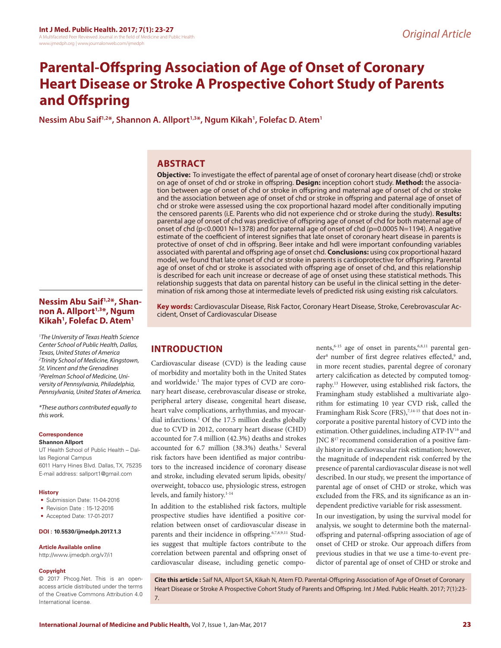# **Parental-Offspring Association of Age of Onset of Coronary Heart Disease or Stroke A Prospective Cohort Study of Parents and Offspring**

**Nessim Abu Saif1,2\*, Shannon A. Allport1,3\*, Ngum Kikah1 , Folefac D. Atem1**

### **ABSTRACT**

**Objective:** To investigate the effect of parental age of onset of coronary heart disease (chd) or stroke on age of onset of chd or stroke in offspring. **Design:** inception cohort study. **Method:** the association between age of onset of chd or stroke in offspring and maternal age of onset of chd or stroke and the association between age of onset of chd or stroke in offspring and paternal age of onset of chd or stroke were assessed using the cox proportional hazard model after conditionally imputing the censored parents (i.E. Parents who did not experience chd or stroke during the study). **Results:**  parental age of onset of chd was predictive of offspring age of onset of chd for both maternal age of onset of chd (p<0.0001 N=1378) and for paternal age of onset of chd (p=0.0005 N=1194). A negative estimate of the coefficient of interest signifies that late onset of coronary heart disease in parents is protective of onset of chd in offspring. Beer intake and hdl were important confounding variables associated with parental and offspring age of onset chd. **Conclusions:** using cox proportional hazard model, we found that late onset of chd or stroke in parents is cardioprotective for offspring. Parental age of onset of chd or stroke is associated with offspring age of onset of chd, and this relationship is described for each unit increase or decrease of age of onset using these statistical methods. This relationship suggests that data on parental history can be useful in the clinical setting in the determination of risk among those at intermediate levels of predicted risk using existing risk calculators.

#### **Nessim Abu Saif1,2\*, Shan**non A. Allport<sup>1,3\*</sup>, Ngum **Kikah1 , Folefac D. Atem1**

*1 The University of Texas Health Science Center School of Public Health, Dallas, Texas, United States of America 2 Trinity School of Medicine, Kingstown, St. Vincent and the Grenadines 3 Perelman School of Medicine, University of Pennsylvania, Philadelphia, Pennsylvania, United States of America.*

*\*These authors contributed equally to this work.*

#### **Correspondence**

#### **Shannon Allport**

UT Health School of Public Health – Dallas Regional Campus 6011 Harry Hines Blvd. Dallas, TX, 75235 E-mail address: sallport1@gmail.com

#### **History**

- Submission Date: 11-04-2016
- Revision Date : 15-12-2016
- Accepted Date: 17-01-2017

#### **DOI : 10.5530/ijmedph.2017.1.3**

#### **Article Available online**

http://www.ijmedph.org/v7/i1

#### **Copyright**

© 2017 Phcog.Net. This is an openaccess article distributed under the terms of the Creative Commons Attribution 4.0 International license.

**Key words:** Cardiovascular Disease, Risk Factor, Coronary Heart Disease, Stroke, Cerebrovascular Accident, Onset of Cardiovascular Disease

## **INTRODUCTION**

Cardiovascular disease (CVD) is the leading cause of morbidity and mortality both in the United States and worldwide.<sup>1</sup> The major types of CVD are coronary heart disease, cerebrovascular disease or stroke, peripheral artery disease, congenital heart disease, heart valve complications, arrhythmias, and myocardial infarctions.<sup>1</sup> Of the 17.5 million deaths globally due to CVD in 2012, coronary heart disease (CHD) accounted for 7.4 million (42.3%) deaths and strokes accounted for 6.7 million (38.3%) deaths.<sup>1</sup> Several risk factors have been identified as major contributors to the increased incidence of coronary disease and stroke, including elevated serum lipids, obesity/ overweight, tobacco use, physiologic stress, estrogen levels, and family history.<sup>1-14</sup>

In addition to the established risk factors, multiple prospective studies have identified a positive correlation between onset of cardiovascular disease in parents and their incidence in offspring.<sup>6,7,8,9,11</sup> Studies suggest that multiple factors contribute to the correlation between parental and offspring onset of cardiovascular disease, including genetic components,<sup>6-15</sup> age of onset in parents,<sup>6,8,11</sup> parental gender<sup>8</sup> number of first degree relatives effected,<sup>9</sup> and, in more recent studies, parental degree of coronary artery calcification as detected by computed tomography.13 However, using established risk factors, the Framingham study established a multivariate algorithm for estimating 10 year CVD risk, called the Framingham Risk Score (FRS), $7,14-15$  that does not incorporate a positive parental history of CVD into the estimation. Other guidelines, including ATP-IV<sup>16</sup> and JNC 817 recommend consideration of a positive family history in cardiovascular risk estimation; however, the magnitude of independent risk conferred by the presence of parental cardiovascular disease is not well described. In our study, we present the importance of parental age of onset of CHD or stroke, which was excluded from the FRS, and its significance as an independent predictive variable for risk assessment.

In our investigation, by using the survival model for analysis, we sought to determine both the maternaloffspring and paternal-offspring association of age of onset of CHD or stroke. Our approach differs from previous studies in that we use a time-to-event predictor of parental age of onset of CHD or stroke and

**Cite this article :** Saif NA, Allport SA, Kikah N, Atem FD. Parental-Offspring Association of Age of Onset of Coronary Heart Disease or Stroke A Prospective Cohort Study of Parents and Offspring. Int J Med. Public Health. 2017; 7(1):23- 7.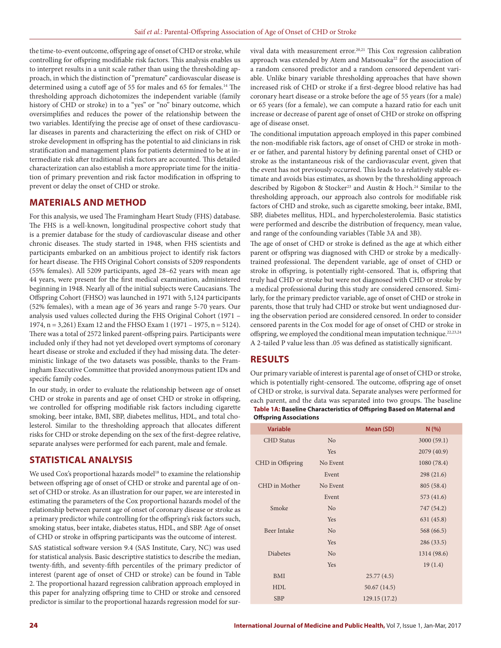the time-to-event outcome, offspring age of onset of CHD or stroke, while controlling for offspring modifiable risk factors. This analysis enables us to interpret results in a unit scale rather than using the thresholding approach, in which the distinction of "premature" cardiovascular disease is determined using a cutoff age of 55 for males and 65 for females.<sup>14</sup> The thresholding approach dichotomizes the independent variable (family history of CHD or stroke) in to a "yes" or "no" binary outcome, which oversimplifies and reduces the power of the relationship between the two variables. Identifying the precise age of onset of these cardiovascular diseases in parents and characterizing the effect on risk of CHD or stroke development in offspring has the potential to aid clinicians in risk stratification and management plans for patients determined to be at intermediate risk after traditional risk factors are accounted. This detailed characterization can also establish a more appropriate time for the initiation of primary prevention and risk factor modification in offspring to prevent or delay the onset of CHD or stroke.

### **MATERIALS AND METHOD**

For this analysis, we used The Framingham Heart Study (FHS) database. The FHS is a well-known, longitudinal prospective cohort study that is a premier database for the study of cardiovascular disease and other chronic diseases. The study started in 1948, when FHS scientists and participants embarked on an ambitious project to identify risk factors for heart disease. The FHS Original Cohort consists of 5209 respondents (55% females). All 5209 participants, aged 28–62 years with mean age 44 years, were present for the first medical examination, administered beginning in 1948. Nearly all of the initial subjects were Caucasians. The Offspring Cohort (FHSO) was launched in 1971 with 5,124 participants (52% females), with a mean age of 36 years and range 5-70 years. Our analysis used values collected during the FHS Original Cohort (1971 – 1974, n = 3,261) Exam 12 and the FHSO Exam 1 (1971 – 1975, n = 5124). There was a total of 2572 linked parent-offspring pairs. Participants were included only if they had not yet developed overt symptoms of coronary heart disease or stroke and excluded if they had missing data. The deterministic linkage of the two datasets was possible, thanks to the Framingham Executive Committee that provided anonymous patient IDs and specific family codes.

In our study, in order to evaluate the relationship between age of onset CHD or stroke in parents and age of onset CHD or stroke in offspring, we controlled for offspring modifiable risk factors including cigarette smoking, beer intake, BMI, SBP, diabetes mellitus, HDL, and total cholesterol. Similar to the thresholding approach that allocates different risks for CHD or stroke depending on the sex of the first-degree relative, separate analyses were performed for each parent, male and female.

### **STATISTICAL ANALYSIS**

We used Cox's proportional hazards model<sup>18</sup> to examine the relationship between offspring age of onset of CHD or stroke and parental age of onset of CHD or stroke. As an illustration for our paper, we are interested in estimating the parameters of the Cox proportional hazards model of the relationship between parent age of onset of coronary disease or stroke as a primary predictor while controlling for the offspring's risk factors such, smoking status, beer intake, diabetes status, HDL, and SBP. Age of onset of CHD or stroke in offspring participants was the outcome of interest. SAS statistical software version 9.4 (SAS Institute, Cary, NC) was used for statistical analysis. Basic descriptive statistics to describe the median, twenty-fifth, and seventy-fifth percentiles of the primary predictor of interest (parent age of onset of CHD or stroke) can be found in Table 2. The proportional hazard regression calibration approach employed in this paper for analyzing offspring time to CHD or stroke and censored predictor is similar to the proportional hazards regression model for survival data with measurement error.<sup>20,21</sup> This Cox regression calibration approach was extended by Atem and Matsouaka<sup>22</sup> for the association of a random censored predictor and a random censored dependent variable. Unlike binary variable thresholding approaches that have shown increased risk of CHD or stroke if a first-degree blood relative has had coronary heart disease or a stroke before the age of 55 years (for a male) or 65 years (for a female), we can compute a hazard ratio for each unit increase or decrease of parent age of onset of CHD or stroke on offspring age of disease onset.

The conditional imputation approach employed in this paper combined the non-modifiable risk factors, age of onset of CHD or stroke in mother or father, and parental history by defining parental onset of CHD or stroke as the instantaneous risk of the cardiovascular event, given that the event has not previously occurred. This leads to a relatively stable estimate and avoids bias estimates, as shown by the thresholding approach described by Rigobon & Stocker<sup>23</sup> and Austin & Hoch.<sup>24</sup> Similar to the thresholding approach, our approach also controls for modifiable risk factors of CHD and stroke, such as cigarette smoking, beer intake, BMI, SBP, diabetes mellitus, HDL, and hypercholesterolemia. Basic statistics were performed and describe the distribution of frequency, mean value, and range of the confounding variables (Table 3A and 3B).

The age of onset of CHD or stroke is defined as the age at which either parent or offspring was diagnosed with CHD or stroke by a medicallytrained professional. The dependent variable, age of onset of CHD or stroke in offspring, is potentially right-censored. That is, offspring that truly had CHD or stroke but were not diagnosed with CHD or stroke by a medical professional during this study are considered censored. Similarly, for the primary predictor variable, age of onset of CHD or stroke in parents, those that truly had CHD or stroke but went undiagnosed during the observation period are considered censored. In order to consider censored parents in the Cox model for age of onset of CHD or stroke in offspring, we employed the conditional mean imputation technique.<sup>22,23,24</sup> A 2-tailed P value less than .05 was defined as statistically significant.

### **RESULTS**

Our primary variable of interest is parental age of onset of CHD or stroke, which is potentially right-censored. The outcome, offspring age of onset of CHD or stroke, is survival data. Separate analyses were performed for each parent, and the data was separated into two groups. The baseline **Table 1A: Baseline Characteristics of Offspring Based on Maternal and Offspring Associations**

| <b>Variable</b>    |                | Mean (SD)    | N(% )       |
|--------------------|----------------|--------------|-------------|
| <b>CHD</b> Status  | N <sub>o</sub> |              | 3000(59.1)  |
|                    | Yes            |              | 2079 (40.9) |
| CHD in Offspring   | No Event       |              | 1080 (78.4) |
|                    | Event          |              | 298(21.6)   |
| CHD in Mother      | No Event       |              | 805 (58.4)  |
|                    | Event          |              | 573 (41.6)  |
| Smoke              | N <sub>o</sub> |              | 747 (54.2)  |
|                    | Yes            |              | 631 (45.8)  |
| <b>Beer Intake</b> | N <sub>o</sub> |              | 568 (66.5)  |
|                    | Yes            |              | 286(33.5)   |
| <b>Diabetes</b>    | N <sub>o</sub> |              | 1314 (98.6) |
|                    | Yes            |              | 19(1.4)     |
| BMI                |                | 25.77(4.5)   |             |
| <b>HDL</b>         |                | 50.67(14.5)  |             |
| <b>SBP</b>         |                | 129.15(17.2) |             |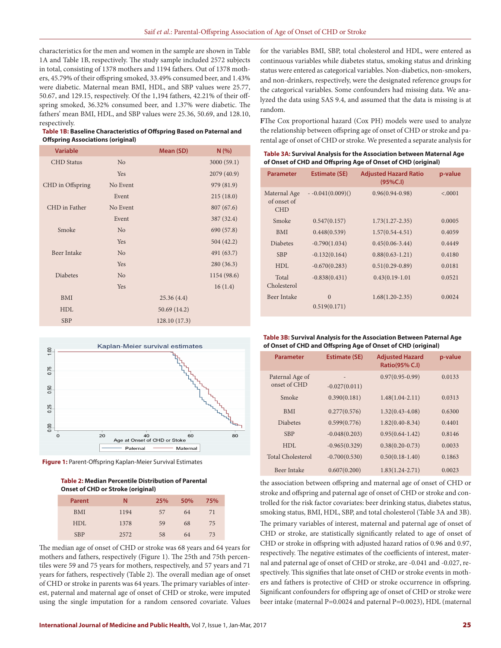characteristics for the men and women in the sample are shown in Table 1A and Table 1B, respectively. The study sample included 2572 subjects in total, consisting of 1378 mothers and 1194 fathers. Out of 1378 mothers, 45.79% of their offspring smoked, 33.49% consumed beer, and 1.43% were diabetic. Maternal mean BMI, HDL, and SBP values were 25.77, 50.67, and 129.15, respectively. Of the 1,194 fathers, 42.21% of their offspring smoked, 36.32% consumed beer, and 1.37% were diabetic. The fathers' mean BMI, HDL, and SBP values were 25.36, 50.69, and 128.10, respectively.

**Table 1B: Baseline Characteristics of Offspring Based on Paternal and Offspring Associations (original)**

| <b>Variable</b>    |                | Mean (SD)    | N(% )       |
|--------------------|----------------|--------------|-------------|
| <b>CHD</b> Status  | N <sub>o</sub> |              | 3000(59.1)  |
|                    | Yes            |              | 2079 (40.9) |
| CHD in Offspring   | No Event       |              | 979 (81.9)  |
|                    | Event          |              | 215(18.0)   |
| CHD in Father      | No Event       |              | 807(67.6)   |
|                    | Event          |              | 387 (32.4)  |
| Smoke              | N <sub>o</sub> |              | 690 (57.8)  |
|                    | Yes            |              | 504 (42.2)  |
| <b>Beer Intake</b> | N <sub>o</sub> |              | 491 (63.7)  |
|                    | Yes            |              | 280(36.3)   |
| <b>Diabetes</b>    | N <sub>o</sub> |              | 1154 (98.6) |
|                    | Yes            |              | 16(1.4)     |
| BMI                |                | 25.36(4.4)   |             |
| <b>HDL</b>         |                | 50.69 (14.2) |             |
| <b>SBP</b>         |                | 128.10(17.3) |             |



 **Figure 1:** Parent-Offspring Kaplan-Meier Survival Estimates

**Table 2: Median Percentile Distribution of Parental Onset of CHD or Stroke (original)**

| <b>Parent</b> | N    | 25% | 50% | 75% |
|---------------|------|-----|-----|-----|
| <b>BMI</b>    | 1194 | 57  | 64  | 71  |
| HDL           | 1378 | 59  | 68  | 75  |
| <b>SBP</b>    | 2572 | 58  | 64  | 73  |

The median age of onset of CHD or stroke was 68 years and 64 years for mothers and fathers, respectively (Figure 1). The 25th and 75th percentiles were 59 and 75 years for mothers, respectively, and 57 years and 71 years for fathers, respectively (Table 2). The overall median age of onset of CHD or stroke in parents was 64 years. The primary variables of interest, paternal and maternal age of onset of CHD or stroke, were imputed using the single imputation for a random censored covariate. Values for the variables BMI, SBP, total cholesterol and HDL, were entered as continuous variables while diabetes status, smoking status and drinking status were entered as categorical variables. Non-diabetics, non-smokers, and non-drinkers, respectively, were the designated reference groups for the categorical variables. Some confounders had missing data. We analyzed the data using SAS 9.4, and assumed that the data is missing is at random.

**F**The Cox proportional hazard (Cox PH) models were used to analyze the relationship between offspring age of onset of CHD or stroke and parental age of onset of CHD or stroke. We presented a separate analysis for

**Table 3A: Survival Analysis for the Association between Maternal Age of Onset of CHD and Offspring Age of Onset of CHD (original)**

| <b>Parameter</b>                          | <b>Estimate (SE)</b>     | <b>Adjusted Hazard Ratio</b><br>(95%C.1) | p-value |
|-------------------------------------------|--------------------------|------------------------------------------|---------|
| Maternal Age<br>of onset of<br><b>CHD</b> | $-0.041(0.009)()$        | $0.96(0.94-0.98)$                        | < .0001 |
| Smoke                                     | 0.547(0.157)             | $1.73(1.27-2.35)$                        | 0.0005  |
| <b>BMI</b>                                | 0.448(0.539)             | $1.57(0.54 - 4.51)$                      | 0.4059  |
| <b>Diabetes</b>                           | $-0.790(1.034)$          | $0.45(0.06-3.44)$                        | 0.4449  |
| <b>SBP</b>                                | $-0.132(0.164)$          | $0.88(0.63 - 1.21)$                      | 0.4180  |
| HDL                                       | $-0.670(0.283)$          | $0.51(0.29-0.89)$                        | 0.0181  |
| Total<br>Cholesterol                      | $-0.838(0.431)$          | $0.43(0.19-1.01)$                        | 0.0521  |
| Beer Intake                               | $\Omega$<br>0.519(0.171) | $1.68(1.20-2.35)$                        | 0.0024  |

#### **Table 3B: Survival Analysis for the Association Between Paternal Age of Onset of CHD and Offspring Age of Onset of CHD (original)**

| <b>Parameter</b>                | <b>Estimate (SE)</b>               | <b>Adjusted Hazard</b><br><b>Ratio(95% C.I)</b> | p-value |
|---------------------------------|------------------------------------|-------------------------------------------------|---------|
| Paternal Age of<br>onset of CHD | $\qquad \qquad$<br>$-0.027(0.011)$ | $0.97(0.95-0.99)$                               | 0.0133  |
| Smoke                           | 0.390(0.181)                       | $1.48(1.04-2.11)$                               | 0.0313  |
| <b>BMI</b>                      | 0.277(0.576)                       | $1.32(0.43 - 4.08)$                             | 0.6300  |
| <b>Diabetes</b>                 | 0.599(0.776)                       | $1.82(0.40-8.34)$                               | 0.4401  |
| <b>SBP</b>                      | $-0.048(0.203)$                    | $0.95(0.64-1.42)$                               | 0.8146  |
| HDI.                            | $-0.965(0.329)$                    | $0.38(0.20-0.73)$                               | 0.0033  |
| <b>Total Cholesterol</b>        | $-0.700(0.530)$                    | $0.50(0.18-1.40)$                               | 0.1863  |
| Beer Intake                     | 0.607(0.200)                       | $1.83(1.24 - 2.71)$                             | 0.0023  |

the association between offspring and maternal age of onset of CHD or stroke and offspring and paternal age of onset of CHD or stroke and controlled for the risk factor covariates: beer drinking status, diabetes status, smoking status, BMI, HDL, SBP, and total cholesterol (Table 3A and 3B). The primary variables of interest, maternal and paternal age of onset of CHD or stroke, are statistically significantly related to age of onset of CHD or stroke in offspring with adjusted hazard ratios of 0.96 and 0.97, respectively. The negative estimates of the coefficients of interest, maternal and paternal age of onset of CHD or stroke, are -0.041 and -0.027, respectively. This signifies that late onset of CHD or stroke events in mothers and fathers is protective of CHD or stroke occurrence in offspring. Significant confounders for offspring age of onset of CHD or stroke were beer intake (maternal P=0.0024 and paternal P=0.0023), HDL (maternal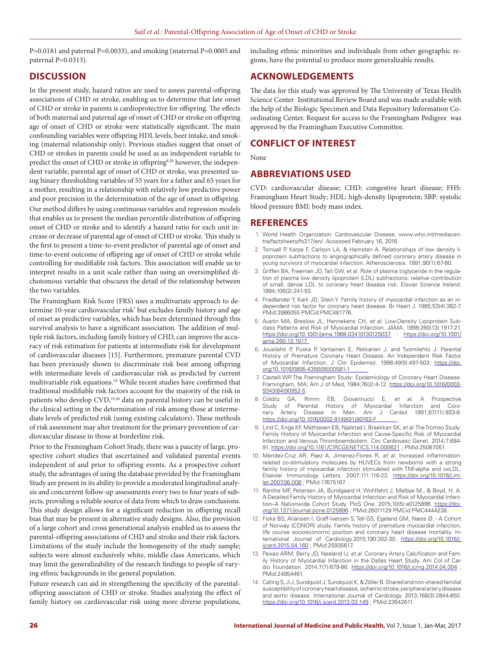$P=0.0181$  and paternal  $P=0.0033$ ), and smoking (maternal  $P=0.0005$  and paternal P=0.0313).

### **DISCUSSION**

In the present study, hazard ratios are used to assess parental-offspring associations of CHD or stroke, enabling us to determine that late onset of CHD or stroke in parents is cardioprotective for offspring. The effects of both maternal and paternal age of onset of CHD or stroke on offspring age of onset of CHD or stroke were statistically significant. The main confounding variables were offspring HDL levels, beer intake, and smoking (maternal relationship only). Previous studies suggest that onset of CHD or strokes in parents could be used as an independent variable to predict the onset of CHD or stroke in offspring<sup>8,20</sup> however, the independent variable, parental age of onset of CHD or stroke, was presented using binary thresholding variables of 55 years for a father and 65 years for a mother, resulting in a relationship with relatively low predictive power and poor precision in the determination of the age of onset in offspring.

Our method differs by using continuous variables and regression models that enables us to present the median percentile distribution of offspring onset of CHD or stroke and to identify a hazard ratio for each unit increase or decrease of parental age of onset of CHD or stroke. This study is the first to present a time-to-event predictor of parental age of onset and time-to-event outcome of offspring age of onset of CHD or stroke while controlling for modifiable risk factors. This association will enable us to interpret results in a unit scale rather than using an oversimplified dichotomous variable that obscures the detail of the relationship between the two variables.

The Framingham Risk Score (FRS) uses a multivariate approach to determine 10-year cardiovascular risk<sup>7</sup> but excludes family history and age of onset as predictive variables, which has been determined through this survival analysis to have a significant association. The addition of multiple risk factors, including family history of CHD, can improve the accuracy of risk estimation for patients at intermediate risk for development of cardiovascular diseases [15]. Furthermore, premature parental CVD has been previously shown to discriminate risk best among offspring with intermediate levels of cardiovascular risk as predicted by current multivariable risk equations.18 While recent studies have confirmed that traditional modifiable risk factors account for the majority of the risk in patients who develop CVD,<sup>25,26</sup> data on parental history can be useful in the clinical setting in the determination of risk among those at intermediate levels of predicted risk (using existing calculators). These methods of risk assessment may alter treatment for the primary prevention of cardiovascular disease in those at borderline risk.

Prior to the Framingham Cohort Study, there was a paucity of large, prospective cohort studies that ascertained and validated parental events independent of and prior to offspring events. As a prospective cohort study, the advantages of using the database provided by the Framingham Study are present in its ability to provide a moderated longitudinal analysis and concurrent follow-up assessments every two to four years of subjects, providing a reliable source of data from which to draw conclusions. This study design allows for a significant reduction in offspring recall bias that may be present in alternative study designs. Also, the provision of a large cohort and cross generational analysis enabled us to assess the parental-offspring associations of CHD and stroke and their risk factors. Limitations of the study include the homogeneity of the study sample; subjects were almost exclusively white, middle class Americans, which may limit the generalizability of the research findings to people of varying ethnic backgrounds in the general population.

Future research can aid in strengthening the specificity of the parentaloffspring association of CHD or stroke. Studies analyzing the effect of family history on cardiovascular risk using more diverse populations,

including ethnic minorities and individuals from other geographic regions, have the potential to produce more generalizable results.

### **ACKNOWLEDGEMENTS**

The data for this study was approved by The University of Texas Health Science Center Institutional Review Board and was made available with the help of the Biologic Specimen and Data Repository Information Coordinating Center. Request for access to the Framingham Pedigree was approved by the Framingham Executive Committee.

#### **CONFLICT OF INTEREST**

None

### **ABBREVIATIONS USED**

CVD: cardiovascular disease; CHD: congestive heart disease; FHS: Framingham Heart Study; HDL: high-density lipoprotein; SBP: systolic blood pressure BMI: body mass index.

#### **REFERENCES**

- 1. World Health Organization: Cardiovascular Disease. www.who.int/mediacentre/factsheets/fs317/en/. Accessed February 16, 2016.
- 2. Tornvall P, Karpe F, Carlson LA, & Hamsten A. Relationships of low density lipoprotein subfractions to angiographically defined coronary artery disease in young survivors of myocardial infarction. Atherosclerosis. 1991;90(1):67-80.
- 3. Griffen BA, Freeman JD, Tait GW, et al. Role of plasma triglyceride in the regulation of plasma low density lipoprotein (LDL) subfractions: relative contribution of small, dense LDL to coronary heart disease risk. Elsvier Science Ireland. 1994;106(2):241-53.
- 4. Friedlander Y, Kark JD, Stein Y. Family history of myocardial infarction as an independent risk factor for coronary heart disease. Br Heart J. 1985;53(4):382-7. PMid:3986055 PMCid:PMC481776.
- 5. Austin MA, Breslow JL, Hennekens CH, *et al*. Low-Density Lipoprotein Subclass Patterns and Risk of Myocardial Infarction. JAMA. 1998;260(13):1917-21. https://doi.org/10.1001/jama.1988.03410130125037 : https://doi.org/10.1001/ jama.260.13.1917
- 6. Jousilahti P, Puska P, Vartiainen E, Pekkanen J, and Tuomilehto J. Parental History of Premature Coronary Heart Disease: An Independent Risk Factor of Myocardial Infarction. J Clin Epidemiol. 1996;49(5):497-503. https://doi. org/10.1016/0895-4356(95)00581-1
- 7. Castelli WP. The Framingham Study: Epidemiology of Coronary Heart Disease. Framingham, MA; Am J of Med, 1984;76(2):4-12. https://doi.org/10.1016/0002- 9343(84)90952-5.
- 8. Colditz GA, Rimm EB, Giovannucci E, *et al*. A Prospective Study of Parental History of Myocardial Infarction and Coro-<br>nary Artery Disease in Men. Am J Cardiol 1991;67(11):933-8. Am J Cardiol 1991;67(11):933-8. https://doi.org/10.1016/0002-9149(91)90163-F
- 9. Lind C, Enga KF, Mathiesen EB, Njølstad I, Braekkan SK, *et al*. The Tromso Study: Family History of Myocardial Infarction and Cause-Specific Risk of Myocardial Infarction and Venous Thromboembolism. Circ Cardiovasc Genet. 2014;7:684- 91. https://doi.org/10.1161/CIRCGENETICS.114.000621 ; PMid:25087051
- 10. Mendez-Cruz AR, Paez A, Jimenez-Flores R, *et al*. Increased inflammationrelated co-stimulatory molecules by HUVECs from newborns with a strong family history of myocardial infarction stimulated with TNF-alpha and oxLDL. Elsevier Immunology Letters. 2007;111:116-23. https://doi.org/10.1016/j.imlet.2007.06.008 ; PMid:17675167.
- 11. Ranthe MF, Petersen JA, Bundgaard H, Wohlfahrt J, Melbye M., & Boyd, H. A. A Detailed Family History of Myocardial Infarction and Risk of Myocardial Infarction-A Nationwide Cohort Study. PloS One. 2015;10(5):e0125896. https://doi. org/10.1371/journal.pone.0125896 ; PMid:26011129 PMCid:PMC4444238.
- 12. Fiska BS, Ariansen I, Graff-Iversen S, Tell GS, Egeland GM, Næss Ø. A Cohort of Norway (CONOR) study. Family history of premature myocardial infarction, life course socioeconomic position and coronary heart disease mortality. International Journal of Cardiology.2015;190:302-30. https://doi.org/10.1016/j. ijcard.2015.04.160 ; PMid:25935617.
- 13. Paixao ARM, Berry JD, Neeland IJ, *et al*. Coronary Artery Calcification and Family History of Myocardial Infarction in the Dallas Heart Study. Am Col of Cardio Foundation. 2014;7(7):679-86. https://doi.org/10.1016/j.jcmg.2014.04.004 ; PMid:24954461.
- 14. Calling S, Ji J, Sundquist J, Sundquist K, & Zöller B. Shared and non-shared familial susceptibility of coronary heart disease, ischemic stroke, peripheral artery disease and aortic disease. International Journal of Cardiology. 2013;168(3):2844-850. https://doi.org/10.1016/j.ijcard.2013.03.149 ; PMid:23642611.